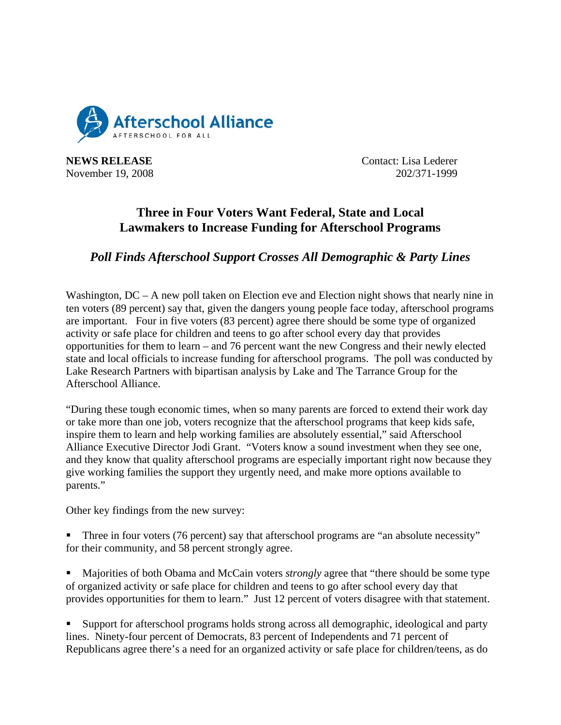

**NEWS RELEASE** Contact: Lisa Lederer November 19, 2008 202/371-1999

## **Three in Four Voters Want Federal, State and Local Lawmakers to Increase Funding for Afterschool Programs**

## *Poll Finds Afterschool Support Crosses All Demographic & Party Lines*

Washington,  $DC - A$  new poll taken on Election eve and Election night shows that nearly nine in ten voters (89 percent) say that, given the dangers young people face today, afterschool programs are important. Four in five voters (83 percent) agree there should be some type of organized activity or safe place for children and teens to go after school every day that provides opportunities for them to learn – and 76 percent want the new Congress and their newly elected state and local officials to increase funding for afterschool programs. The poll was conducted by Lake Research Partners with bipartisan analysis by Lake and The Tarrance Group for the Afterschool Alliance.

"During these tough economic times, when so many parents are forced to extend their work day or take more than one job, voters recognize that the afterschool programs that keep kids safe, inspire them to learn and help working families are absolutely essential," said Afterschool Alliance Executive Director Jodi Grant. "Voters know a sound investment when they see one, and they know that quality afterschool programs are especially important right now because they give working families the support they urgently need, and make more options available to parents."

Other key findings from the new survey:

- Three in four voters (76 percent) say that afterschool programs are "an absolute necessity" for their community, and 58 percent strongly agree.
- **Majorities of both Obama and McCain voters** *strongly* **agree that "there should be some type**" of organized activity or safe place for children and teens to go after school every day that provides opportunities for them to learn." Just 12 percent of voters disagree with that statement.

 Support for afterschool programs holds strong across all demographic, ideological and party lines. Ninety-four percent of Democrats, 83 percent of Independents and 71 percent of Republicans agree there's a need for an organized activity or safe place for children/teens, as do